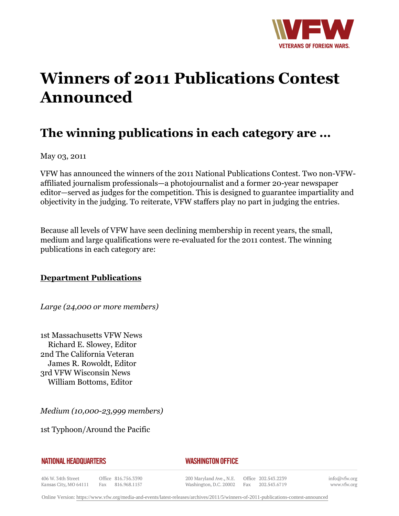

# **Winners of 2011 Publications Contest Announced**

# **The winning publications in each category are ...**

May 03, 2011

VFW has announced the winners of the 2011 National Publications Contest. Two non-VFWaffiliated journalism professionals—a photojournalist and a former 20-year newspaper editor—served as judges for the competition. This is designed to guarantee impartiality and objectivity in the judging. To reiterate, VFW staffers play no part in judging the entries.

Because all levels of VFW have seen declining membership in recent years, the small, medium and large qualifications were re-evaluated for the 2011 contest. The winning publications in each category are:

## **Department Publications**

*Large (24,000 or more members)*

1st Massachusetts VFW News Richard E. Slowey, Editor 2nd The California Veteran James R. Rowoldt, Editor 3rd VFW Wisconsin News William Bottoms, Editor

*Medium (10,000-23,999 members)*

1st Typhoon/Around the Pacific

|  | NATIONAL HEADQUARTERS |  |
|--|-----------------------|--|
|  |                       |  |

#### *WASHINGTON OFFICE*

406 W. 34th Street Office 816.756.3390 Fax 816.968.1157 Kansas City, MO 64111

200 Maryland Ave., N.E. Washington, D.C. 20002

Office 202.543.2239 Fax 202.543.6719

info@vfw.org www.vfw.org

Online Version:<https://www.vfw.org/media-and-events/latest-releases/archives/2011/5/winners-of-2011-publications-contest-announced>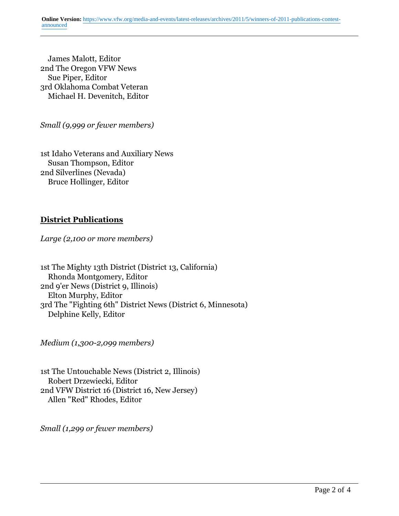James Malott, Editor 2nd The Oregon VFW News Sue Piper, Editor 3rd Oklahoma Combat Veteran Michael H. Devenitch, Editor

*Small (9,999 or fewer members)*

1st Idaho Veterans and Auxiliary News Susan Thompson, Editor 2nd Silverlines (Nevada) Bruce Hollinger, Editor

## **District Publications**

*Large (2,100 or more members)*

1st The Mighty 13th District (District 13, California) Rhonda Montgomery, Editor 2nd 9'er News (District 9, Illinois) Elton Murphy, Editor 3rd The "Fighting 6th" District News (District 6, Minnesota) Delphine Kelly, Editor

*Medium (1,300-2,099 members)*

1st The Untouchable News (District 2, Illinois) Robert Drzewiecki, Editor 2nd VFW District 16 (District 16, New Jersey) Allen "Red" Rhodes, Editor

*Small (1,299 or fewer members)*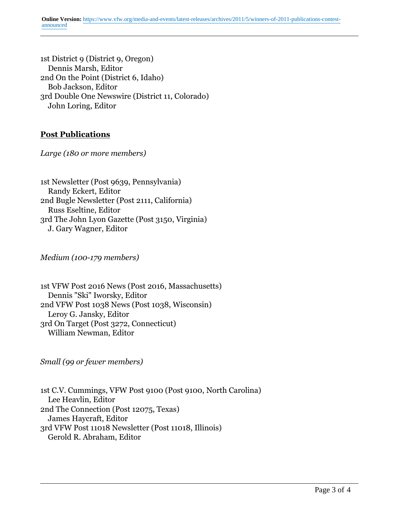1st District 9 (District 9, Oregon) Dennis Marsh, Editor 2nd On the Point (District 6, Idaho) Bob Jackson, Editor 3rd Double One Newswire (District 11, Colorado) John Loring, Editor

# **Post Publications**

*Large (180 or more members)*

1st Newsletter (Post 9639, Pennsylvania) Randy Eckert, Editor 2nd Bugle Newsletter (Post 2111, California) Russ Eseltine, Editor 3rd The John Lyon Gazette (Post 3150, Virginia) J. Gary Wagner, Editor

*Medium (100-179 members)*

1st VFW Post 2016 News (Post 2016, Massachusetts) Dennis "Ski" Iworsky, Editor 2nd VFW Post 1038 News (Post 1038, Wisconsin) Leroy G. Jansky, Editor 3rd On Target (Post 3272, Connecticut) William Newman, Editor

*Small (99 or fewer members)*

1st C.V. Cummings, VFW Post 9100 (Post 9100, North Carolina) Lee Heavlin, Editor 2nd The Connection (Post 12075, Texas) James Haycraft, Editor 3rd VFW Post 11018 Newsletter (Post 11018, Illinois) Gerold R. Abraham, Editor